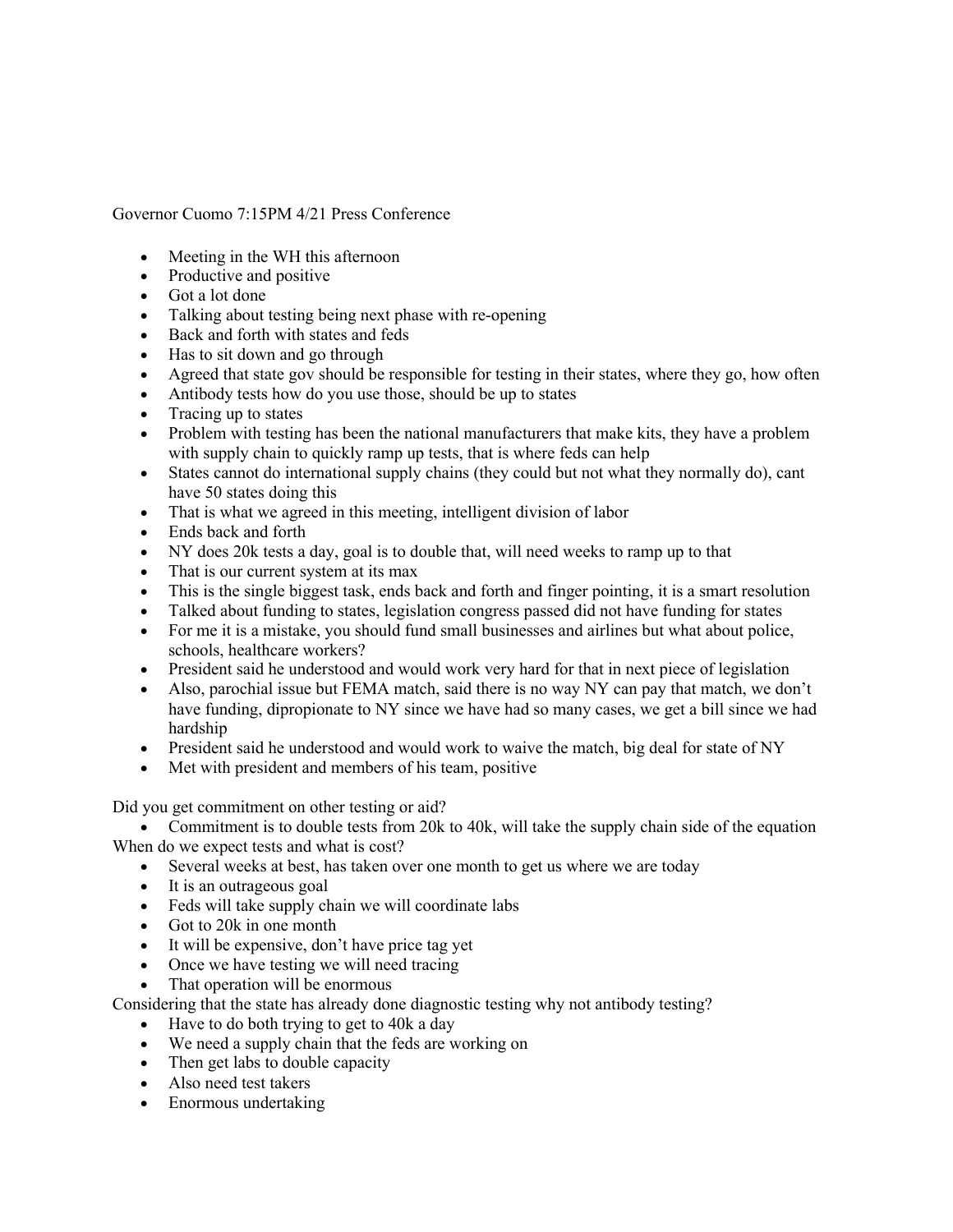Governor Cuomo 7:15PM 4/21 Press Conference

- Meeting in the WH this afternoon
- Productive and positive
- Got a lot done
- Talking about testing being next phase with re-opening
- Back and forth with states and feds
- Has to sit down and go through
- Agreed that state gov should be responsible for testing in their states, where they go, how often
- Antibody tests how do you use those, should be up to states
- Tracing up to states
- Problem with testing has been the national manufacturers that make kits, they have a problem with supply chain to quickly ramp up tests, that is where feds can help
- States cannot do international supply chains (they could but not what they normally do), cant have 50 states doing this
- That is what we agreed in this meeting, intelligent division of labor
- Ends back and forth
- NY does 20k tests a day, goal is to double that, will need weeks to ramp up to that
- That is our current system at its max
- This is the single biggest task, ends back and forth and finger pointing, it is a smart resolution
- Talked about funding to states, legislation congress passed did not have funding for states
- For me it is a mistake, you should fund small businesses and airlines but what about police, schools, healthcare workers?
- President said he understood and would work very hard for that in next piece of legislation
- Also, parochial issue but FEMA match, said there is no way NY can pay that match, we don't have funding, dipropionate to NY since we have had so many cases, we get a bill since we had hardship
- President said he understood and would work to waive the match, big deal for state of NY
- Met with president and members of his team, positive

Did you get commitment on other testing or aid?

• Commitment is to double tests from 20k to 40k, will take the supply chain side of the equation When do we expect tests and what is cost?

- Several weeks at best, has taken over one month to get us where we are today
- It is an outrageous goal
- Feds will take supply chain we will coordinate labs
- Got to 20k in one month
- It will be expensive, don't have price tag yet
- Once we have testing we will need tracing
- That operation will be enormous

Considering that the state has already done diagnostic testing why not antibody testing?

- Have to do both trying to get to 40k a day
- We need a supply chain that the feds are working on
- Then get labs to double capacity
- Also need test takers
- Enormous undertaking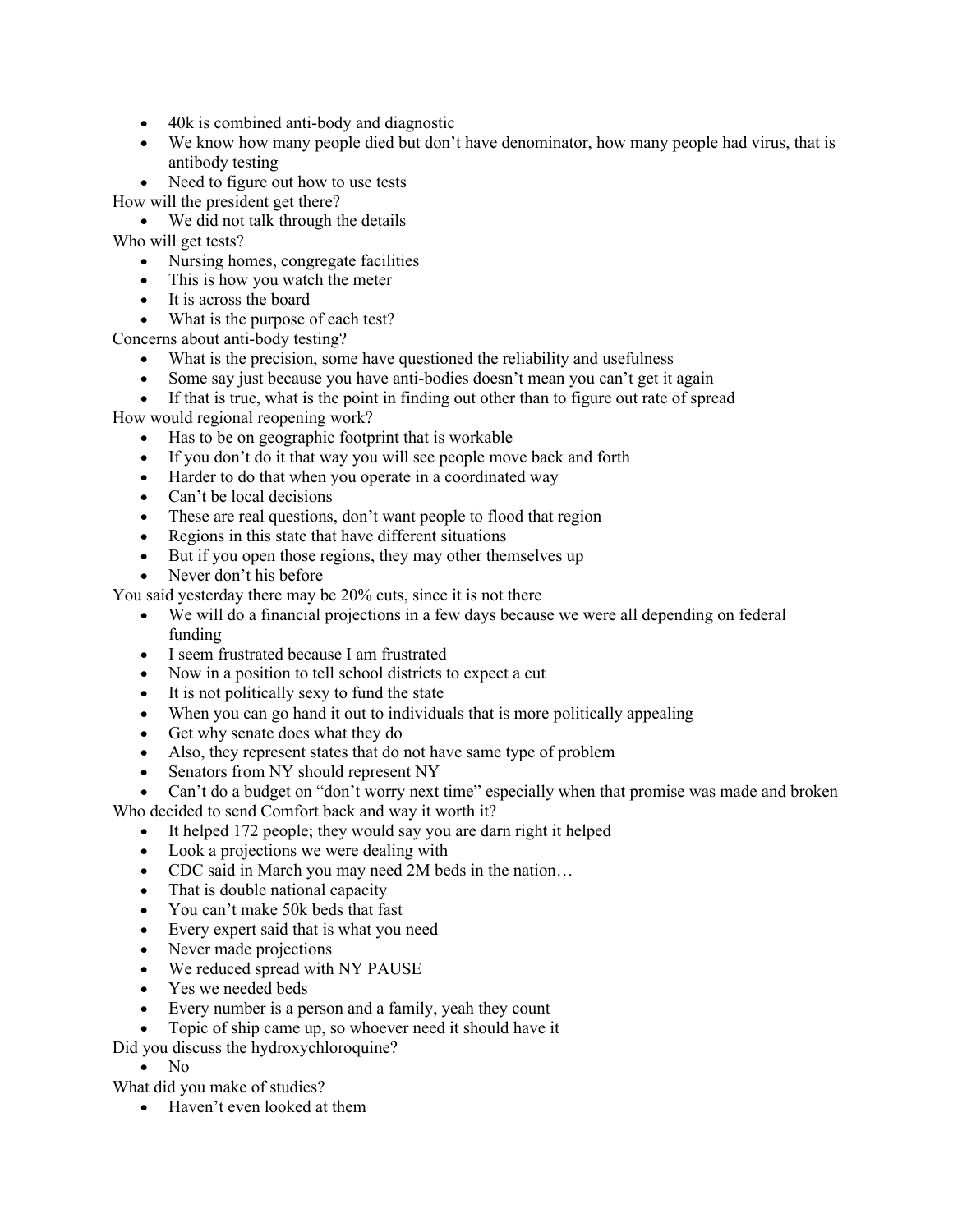- 40k is combined anti-body and diagnostic
- We know how many people died but don't have denominator, how many people had virus, that is antibody testing
- Need to figure out how to use tests

How will the president get there?

• We did not talk through the details

Who will get tests?

- Nursing homes, congregate facilities
- This is how you watch the meter
- It is across the board
- What is the purpose of each test?

Concerns about anti-body testing?

- What is the precision, some have questioned the reliability and usefulness
- Some say just because you have anti-bodies doesn't mean you can't get it again
- If that is true, what is the point in finding out other than to figure out rate of spread

How would regional reopening work?

- Has to be on geographic footprint that is workable
- If you don't do it that way you will see people move back and forth
- Harder to do that when you operate in a coordinated way
- Can't be local decisions
- These are real questions, don't want people to flood that region
- Regions in this state that have different situations
- But if you open those regions, they may other themselves up
- Never don't his before

You said yesterday there may be 20% cuts, since it is not there

- We will do a financial projections in a few days because we were all depending on federal funding
- I seem frustrated because I am frustrated
- Now in a position to tell school districts to expect a cut
- It is not politically sexy to fund the state
- When you can go hand it out to individuals that is more politically appealing
- Get why senate does what they do
- Also, they represent states that do not have same type of problem
- Senators from NY should represent NY

• Can't do a budget on "don't worry next time" especially when that promise was made and broken

Who decided to send Comfort back and way it worth it?

- It helped 172 people; they would say you are darn right it helped
- Look a projections we were dealing with
- CDC said in March you may need 2M beds in the nation…
- That is double national capacity
- You can't make 50k beds that fast
- Every expert said that is what you need
- Never made projections
- We reduced spread with NY PAUSE
- Yes we needed beds
- Every number is a person and a family, yeah they count
- Topic of ship came up, so whoever need it should have it
- Did you discuss the hydroxychloroquine?
	- No

What did you make of studies?

• Haven't even looked at them